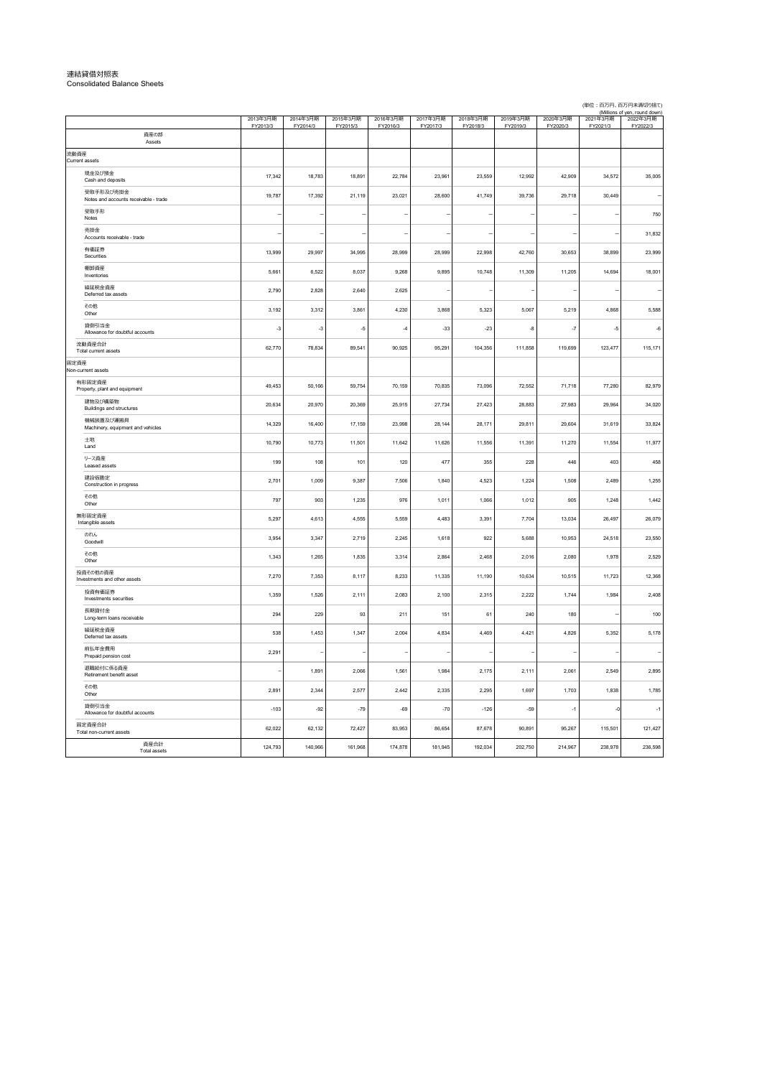|      |                                                    | 2013年3月期<br>FY2013/3 | 2014年3月期<br>FY2014/3 | 2015年3月期<br>FY2015/3 | 2016年3月期<br>FY2016/3 | 2017年3月期<br>FY2017/3 | 2018年3月期<br>FY2018/3 | 2019年3月期<br>FY2019/3 | 2020年3月期<br>FY2020/3 | i miliions ol<br>2021年3月期<br>FY2021/3 | ven. roung gown<br>2022年3月期<br>FY2022/3 |
|------|----------------------------------------------------|----------------------|----------------------|----------------------|----------------------|----------------------|----------------------|----------------------|----------------------|---------------------------------------|-----------------------------------------|
|      | 資産の部<br>Assets                                     |                      |                      |                      |                      |                      |                      |                      |                      |                                       |                                         |
| 流動資産 | Current assets                                     |                      |                      |                      |                      |                      |                      |                      |                      |                                       |                                         |
|      | 現金及び預金<br>Cash and deposits                        | 17,342               | 18,783               | 18,891               | 22,784               | 23,961               | 23,559               | 12,992               | 42,909               | 34,572                                | 35,005                                  |
|      | 受取手形及び売掛金<br>Notes and accounts receivable - trade | 19,787               | 17,392               | 21,119               | 23,021               | 28,600               | 41,749               | 39,736               | 29,718               | 30,449                                |                                         |
|      | 受取手形<br>Notes                                      |                      |                      |                      |                      |                      |                      |                      |                      |                                       | 750                                     |
|      | 売掛金<br>Accounts receivable - trade                 |                      |                      |                      |                      |                      |                      |                      |                      |                                       | 31,832                                  |
|      | 有価証券<br>Securities                                 | 13,999               | 29,997               | 34,995               | 28,999               | 28,999               | 22,998               | 42,760               | 30,653               | 38,899                                | 23,999                                  |
|      | 棚卸資産<br>Inventories                                | 5,661                | 6,522                | 8,037                | 9,268                | 9,895                | 10,748               | 11,309               | 11,205               | 14,694                                | 18,001                                  |
|      | 繰延税金資産<br>Deferred tax assets                      | 2,790                | 2,828                | 2,640                | 2,625                |                      |                      |                      |                      |                                       |                                         |
|      | その他<br>Other                                       | 3,192                | 3,312                | 3,861                | 4,230                | 3.868                | 5,323                | 5,067                | 5,219                | 4,868                                 | 5,588                                   |
|      | 貸倒引当金<br>Allowance for doubtful accounts           | $-3$                 | $-3$                 | $-5$                 | $\overline{4}$       | $-33$                | $-23$                | $-8$                 | $-7$                 | $-5$                                  | $-6$                                    |
|      | 流動資産合計<br>Total current assets                     | 62,770               | 78,834               | 89,541               | 90,925               | 95,291               | 104,356              | 111,858              | 119,699              | 123,477                               | 115,171                                 |
| 固定資産 | Non-current assets                                 |                      |                      |                      |                      |                      |                      |                      |                      |                                       |                                         |
|      | 有形固定資産<br>Property, plant and equipment            | 49,453               | 50,166               | 59,754               | 70,159               | 70,835               | 73,096               | 72,552               | 71,718               | 77,280                                | 82,979                                  |
|      | 建物及び構築物<br>Buildings and structures                | 20,634               | 20,970               | 20,369               | 25,915               | 27,734               | 27,423               | 28,883               | 27,983               | 29,964                                | 34,020                                  |
|      | 機械装置及び運搬具<br>Machinery, equipment and vehicles     | 14,329               | 16,400               | 17,159               | 23,998               | 28,144               | 28,171               | 29,811               | 29,604               | 31,619                                | 33,824                                  |
|      | 土地<br>Land                                         | 10,790               | 10,773               | 11,501               | 11,642               | 11,626               | 11,556               | 11,391               | 11,270               | 11,554                                | 11,977                                  |
|      | リース資産<br>Leased assets                             | 199                  | 108                  | 101                  | 120                  | 477                  | 355                  | 228                  | 446                  | 403                                   | 458                                     |
|      | 建設仮勘定<br>Construction in progress                  | 2,701                | 1,009                | 9.387                | 7.506                | 1.840                | 4.523                | 1.224                | 1.508                | 2.489                                 | 1,255                                   |
|      | その他<br>Other                                       | 797                  | 903                  | 1.235                | 976                  | 1,011                | 1,066                | 1,012                | 905                  | 1,248                                 | 1,442                                   |
|      | 無形固定資産<br>Intangible assets                        | 5.297                | 4,613                | 4.555                | 5.559                | 4.483                | 3.391                | 7.704                | 13,034               | 26,497                                | 26,079                                  |
|      | のれん<br>Goodwill                                    | 3,954                | 3,347                | 2,719                | 2,245                | 1,618                | 922                  | 5,688                | 10,953               | 24,518                                | 23,550                                  |
|      | その他<br>Other                                       | 1,343                | 1,265                | 1,835                | 3,314                | 2,864                | 2,468                | 2,016                | 2,080                | 1,978                                 | 2,529                                   |
|      | 投資その他の資産<br>Investments and other assets           | 7,270                | 7,353                | 8,117                | 8,233                | 11,335               | 11,190               | 10,634               | 10,515               | 11,723                                | 12,368                                  |
|      | 投資有価証券<br>Investments securities                   | 1,359                | 1,526                | 2,111                | 2,083                | 2,100                | 2,315                | 2,222                | 1,744                | 1,984                                 | 2,408                                   |
|      | 長期貸付金<br>Long-term loans receivable                | 294                  | 229                  | 93                   | 211                  | 151                  | 61                   | 240                  | 180                  |                                       | 100                                     |
|      | 繰延税金資産<br>Deferred tax assets                      | 538                  | 1,453                | 1,347                | 2,004                | 4,834                | 4,469                | 4,421                | 4,826                | 5,352                                 | 5,178                                   |
|      | 前払年金費用<br>Prepaid pension cost                     | 2,291                |                      |                      |                      |                      |                      |                      |                      |                                       |                                         |
|      | 退職給付に係る資産<br>Retirement benefit asset              |                      | 1,891                | 2,066                | 1,561                | 1,984                | 2,175                | 2.111                | 2.061                | 2.549                                 | 2,895                                   |
|      | その他<br>Other                                       | 2,891                | 2,344                | 2,577                | 2,442                | 2,335                | 2,295                | 1,697                | 1,703                | 1,838                                 | 1,785                                   |
|      | 貸倒引当金<br>Allowance for doubtful accounts           | $-103$               | $-92$                | $-79$                | $-69$                | $-70$                | $-126$               | $-59$                | $-1$                 | $-0$                                  | $-1$                                    |
|      | 固定資産合計<br>Total non-current assets                 | 62,022               | 62,132               | 72,427               | 83,953               | 86,654               | 87,678               | 90,891               | 95,267               | 115,501                               | 121,427                                 |
|      | 資産合計<br><b>Total assets</b>                        | 124,793              | 140,966              | 161,968              | 174,878              | 181,945              | 192,034              | 202,750              | 214,967              | 238,978                               | 236,598                                 |

# 連結貸借対照表 Consolidated Balance Sheets

(単位:百万円、百万円未満切り捨て)<br>(Millions of yen, round down)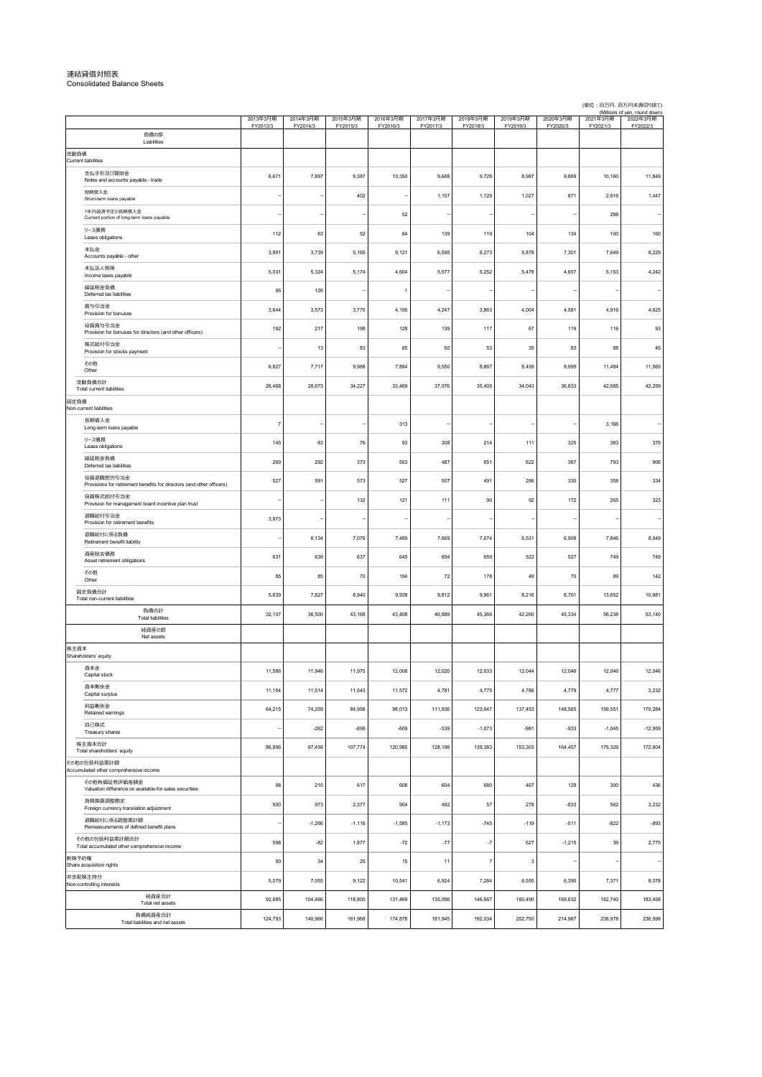### 2013年3⽉期 FY2013/3 2014年3⽉期 FY2014/3 2015年3⽉期 FY2015/3 2016年3⽉期 FY2016/3 2017年3⽉期 FY2017/3 2018年3⽉期 FY2018/3 2019年3⽉期 FY2019/3 2020年3⽉期 FY2020/3 Millions)<br>和日子主?CO2 FY2021/3 (Millions of yen, round down)<br>〒3月期 - 2022年3月期 FY2022/3 支払手形及び買掛金 支払手形及び買掛金 6,671 7,997 9,387 10,350 9,668 8,987 9,889 10,160 11,849 —<br>短期借入金<br>Short-term loans payable Short-term loans payable - - <sup>402</sup> - 1,107 1,129 1,027 871 2,616 1,447 1年内返済予定の⻑期借⼊⾦ Current portion of long-term loans payable --- <sup>52</sup> ---- <sup>298</sup> - リース債務<br>Lease obligations Lease obligations 112 63 52 64 139 119 104 134 100 160 未払金<br>Accounts payable - other Accounts payable - other 3,891 3,739 5,165 6,121 6,595 6,273 5,878 7,301 7,649 8,229 未払法人税等<br>Income taxes payable Income taxes payable 5,031 5,324 5,174 4,604 5,577 5,252 5,478 4,657 5,153 4,242 繰延税⾦負債 one-aov.uv=vent de la terme de la 195 | 126 | 126 | 1 | − | − | − | − − − − − −<br>Deferred tax labilities 賞与引当金<br>Provision for bonuses Provision for bonuses 3,644 3,573 3,775 4,195 4,247 3,863 4,004 4,581 4,916 4,625 役員賞与引当金<br>Provision for bor 991 112 118 119 118 118 1192 217 198 128 139 117 67 119 119 116 <br>株式給付引当金<br>Provision for stocks paymen יא--שהוביש ב-200 831 83 (1956) 50 50 53 50 545 60 50 53 83 84 45<br>Provision for stocks payment - 13 5 50 50 50 50 50 50 50 50 50 65 60 50 60 50 60 60 60 60 60 60 60 60 60 60 60 その他 Other 6,827 7,717 9,988 7,884 9,550 8,867 8,459 8,995 11,484 11,565 26,468 28,673 34,227 33,469 37,076 35,405 34,043 36,633 42,585 42,259 長期借入金<br>Long-term loans payable Long-term loans payable <sup>7</sup> - - <sup>313</sup> ---- 3,166 - リース債務<br>Lease obligations ั∕หละอบัญสย์ons 145 | 145 83 76 93 308 214 111 325 308 315 316<br>Lease obligations 経研殺金負債 Deferred tax liabilities 269 292 373 553 487 651 622 367 793 906 役員退職慰労引当⾦ Provisions for retirement benefits for directors (and other officers) 527 591 573 527 507 491 286 330 358 334 役員株式給付引当⾦ Provision for management board incentive plan trust - - 132 121 111 90 92 172 265 323 退職給付引当⾦ Provision for retirement benefits 3,973 --------- ー<br>退職給付に係る負債<br>Retirement benefit liability A≊hanastrius.⊮vo-voime (1.000 1.000 1.000 1.000 1.000 1.000 1.000 1.000 7,669 7,674 6,531 6,908 7,846 8,049 8,049<br>Retirement benefit liability 資産除去債務 ≁∞acor⊶-2-ex*io*<br>Asset retirement obligations 631 631 631 639 637 645 654 659 522 527 749 749 745 その他 لماري 178 1941 195 142 195 70 1941 195 196 1972 1981 1991 1992 142<br>المراجع المستحدث المستحدث المستحدث المستحدث المستحدث المستحدث المستحدث المستحدث المستحدث المستحدث المستحدث الم 5,639 7,827 8,940 9,939 9,812 9,961 8,216 8,701 13,652 10,881 32,107 36,500 43,168 43,408 46,889 45,366 42,260 45,334 56,238 53,140 資本金<br>Capital stock Capital stock 11,586 11,946 11,975 12,008 12,020 12,033 12,044 12,046 12,046 12,046 資本剰余金<br>Capital surplus Acr∾assional Surplus 11,154 11,514 11,543 11,542 4,781 4,775 4,775 4,779 4,777 3,232<br>Capital pupus 利益剰余金<br>Retained earnings \*יים המבאה ב-195,655 (1910,284 11,259 14,259 84,295 98,013 111,936 123,647 137,453 148,565 159,551 170,284<br>Retained earnings 自己株式<br>Treasury shares –i.-n.--v. - - - -262 -699 -609 -539 -1,073 -981 -983 -1,045 -1,045 -12,959 -1,045 -12,959<br>Treasury shares 86,956 97,458 107,774 120,985 128,198 139,383 153,303 164,457 175,329 172,604 ー<br>その他有価証券評価差額金<br>Valuation difference on ava Valuation difference on available-for-sales securities 98 210 617 608 604 680 467 129 300 436 為替換算調整勘定 -<br>| 5019 57 582 562 562 502 500 973 2,377 904 492 57 278 278 -833 562 3,232<br>|Foreign currency translation adjustment 退職給付に係る調整累計額<br>Remeasurements of defined benefit plans Assensiun⊯s and announce and the content of the content of the content of the content of the content of the co<br>Remeasurements of defined benefit plans - -1,185 -1,116 -1,116 -1,585 -1,173 -745 -119 -511 -822 - -893 598 -82 -1,877 -72 -77 -7 -72 -1,215 -1,215 -827 -1,215 -1,215 50 34 25 15 11 7 3 - - -5,079 7,055 9,122 10,541 6,924 7,284 6,555 6,390 7,371 8,078 92,685 104,466 118,800 131,469 135,056 146,667 160,490 169,632 182,740 183,458 124,793 140,966 161,968 174,878 181,945 192,034 202,750 214,967 238,978 236,598 新株予約権 Share acquisition rights ⾮⽀配株主持分 nosse<br>olling interests 負債純資産合計 Total liabilities and net assets 負債合計 Total liabilities 純資産の部 Net assets 株主資本 Shareholders' equity 株主資本合計 Total shareholders' equity その他の包括利益累計額 Accumulated other comprehensive income その他の包括利益累計額合計 Total accumulated other comprehensive income 負債の部 Liabilities 流動負債 Current liabilities 流動負債合計 Total current liabilities 固定負債 l<br>Iont-liabilities 固定負債合計 Total non-current liabilities 純資産合計 Total net assets

(単位:百万円、百万円未満切り捨て)

### 連結貸借対照表 Consolidated Balance Sheets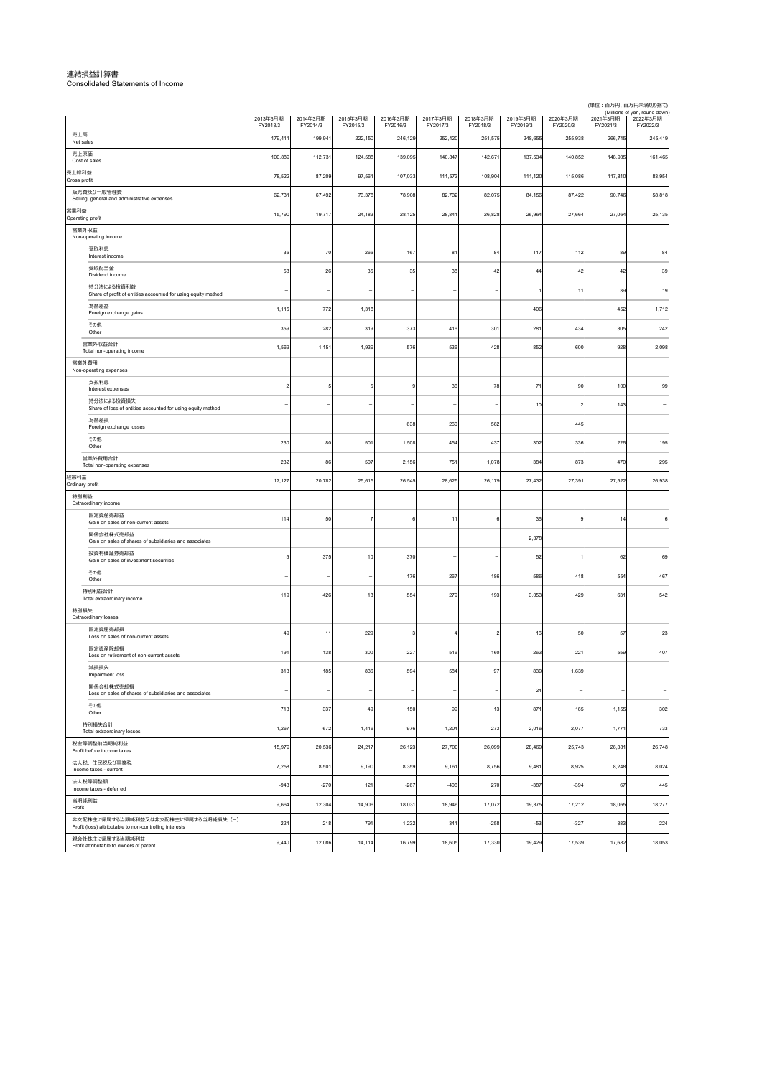連結損益計算書 Consolidated Statements of Income

(単位︓百万円、百万円未満切り捨て)

|                                                                                                 | 2013年3月期<br>FY2013/3 | 2014年3月期<br>FY2014/3 | 2015年3月期<br>FY2015/3 | 2016年3月期<br>FY2016/3 | 2017年3月期<br>FY2017/3 | 2018年3月期<br>FY2018/3 | 2019年3月期<br>FY2019/3 | 2020年3月期<br>FY2020/3 | 2021年3月期<br>FY2021/3 | (Millions of yen, round down)<br>2022年3月期<br>FY2022/3 |
|-------------------------------------------------------------------------------------------------|----------------------|----------------------|----------------------|----------------------|----------------------|----------------------|----------------------|----------------------|----------------------|-------------------------------------------------------|
| 売上高<br>Net sales                                                                                | 179,411              | 199,941              | 222,150              | 246,129              | 252,420              | 251,575              | 248,655              | 255,938              | 266,745              | 245,419                                               |
| 売上原価<br>Cost of sales                                                                           | 100,889              | 112,731              | 124,588              | 139,095              | 140,847              | 142,671              | 137,534              | 140,852              | 148,935              | 161,465                                               |
| 売上総利益<br>Gross profit                                                                           | 78,522               | 87,209               | 97,561               | 107,033              | 111,573              | 108,904              | 111,120              | 115,086              | 117,810              | 83,954                                                |
| 販売費及び一般管理費<br>Selling, general and administrative expenses                                      | 62,731               | 67,492               | 73,378               | 78,908               | 82,732               | 82,075               | 84,156               | 87,422               | 90,746               | 58,818                                                |
| 営業利益<br>Operating profit                                                                        | 15,790               | 19,717               | 24,183               | 28,125               | 28,84                | 26,828               | 26,964               | 27,664               | 27,064               | 25,135                                                |
| 営業外収益<br>Non-operating income                                                                   |                      |                      |                      |                      |                      |                      |                      |                      |                      |                                                       |
| 受取利息<br>Interest income                                                                         | 36                   | 70                   | 266                  | 167                  | 81                   | 84                   | 117                  | 112                  | 89                   | 84                                                    |
| 受取配当金<br>Dividend income                                                                        | 58                   | 26                   | 35                   | 35                   | 38                   | 42                   | 44                   | 42                   | 42                   | 39                                                    |
| 持分法による投資利益<br>Share of profit of entities accounted for using equity method                     |                      |                      |                      |                      |                      |                      |                      | 11                   | 39                   | 19                                                    |
| 為替差益<br>Foreign exchange gains                                                                  | 1,115                | 772                  | 1,318                |                      |                      |                      | 406                  |                      | 452                  | 1,712                                                 |
| その他<br>Other                                                                                    | 359                  | 282                  | 319                  | 373                  | 416                  | 301                  | 281                  | 434                  | 305                  | 242                                                   |
| 営業外収益合計<br>Total non-operating income                                                           | 1,569                | 1,151                | 1,939                | 576                  | 536                  | 428                  | 852                  | 600                  | 928                  | 2,098                                                 |
| 営業外費用<br>Non-operating expenses                                                                 |                      |                      |                      |                      |                      |                      |                      |                      |                      |                                                       |
| 支払利息<br>Interest expenses                                                                       | $\overline{2}$       |                      |                      | 9                    | 36                   | 78                   | 71                   | 90                   | 100                  | 99                                                    |
| 持分法による投資損失<br>Share of loss of entities accounted for using equity method                       |                      |                      |                      |                      |                      |                      | 10                   |                      | 143                  |                                                       |
| 為替差損                                                                                            |                      |                      |                      | 638                  | 260                  | 562                  |                      | 445                  |                      |                                                       |
| Foreign exchange losses<br>その他                                                                  | 230                  | 80                   | 501                  | 1,508                | 454                  | 437                  | 302                  | 336                  | 226                  | 195                                                   |
| Other<br>営業外費用合計                                                                                | 232                  | 86                   | 507                  | 2,156                | 75 <sup>′</sup>      | 1,078                | 384                  | 873                  | 470                  | 295                                                   |
| Total non-operating expenses<br>経常利益                                                            | 17,127               | 20,782               | 25,615               | 26,545               | 28,625               | 26,179               | 27,432               | 27,39                | 27,522               | 26,938                                                |
| Ordinary profit<br>特別利益                                                                         |                      |                      |                      |                      |                      |                      |                      |                      |                      |                                                       |
| Extraordinary income<br>固定資産売却益                                                                 | 114                  | 50                   |                      | 6                    | 11                   |                      | 36                   |                      | 14                   | 6                                                     |
| Gain on sales of non-current assets<br>関係会社株式売却益                                                |                      |                      |                      |                      |                      |                      | 2,378                |                      |                      |                                                       |
| Gain on sales of shares of subsidiaries and associates<br>投資有価証券売却益                             | 5                    | 375                  | 10                   | 370                  |                      |                      | 52                   |                      | 62                   | 69                                                    |
| Gain on sales of investment securities<br>その他                                                   |                      |                      |                      | 176                  | 267                  | 186                  | 586                  | 418                  | 554                  | 467                                                   |
| Other<br>特別利益合計                                                                                 |                      |                      |                      |                      |                      |                      |                      |                      |                      |                                                       |
| Total extraordinary income<br>特別損失                                                              | 119                  | 426                  | 18                   | 554                  | 279                  | 193                  | 3,053                | 429                  | 631                  | 542                                                   |
| Extraordinary losses<br>固定資産売却損                                                                 |                      |                      |                      |                      |                      |                      |                      |                      |                      |                                                       |
| Loss on sales of non-current assets<br>固定資産除却損                                                  | 49                   | 11                   | 229                  | 3                    |                      | 2                    | 16                   | 50                   | 57                   | 23                                                    |
| Loss on retirement of non-current assets                                                        | 191                  | 138                  | 300                  | 227                  | 516                  | 160                  | 263                  | $22^{\circ}$         | 559                  | 407                                                   |
| 減損損失<br>Impairment loss                                                                         | 313                  | 185                  | 836                  | 594                  | 584                  | 97                   | 839                  | 1,639                |                      |                                                       |
| 関係会社株式売却損<br>Loss on sales of shares of subsidiaries and associates                             |                      |                      |                      |                      |                      |                      | 24                   |                      |                      |                                                       |
| その他<br>Other                                                                                    | 713                  | 337                  | 49                   | 150                  | 99                   | 13                   | 871                  | 165                  | 1,155                | 302                                                   |
| 特別損失合計<br>Total extraordinary losses                                                            | 1,267                | 672                  | 1,416                | 976                  | 1,204                | 273                  | 2,016                | 2,077                | 1,771                | 733                                                   |
| 税金等調整前当期純利益<br>Profit before income taxes                                                       | 15,979               | 20,536               | 24,217               | 26,123               | 27,700               | 26,099               | 28,469               | 25,743               | 26,381               | 26,748                                                |
| 法人税、住民税及び事業税<br>Income taxes - current                                                          | 7,258                | 8,501                | 9,190                | 8,359                | 9,161                | 8,756                | 9,481                | 8,925                | 8,248                | 8,024                                                 |
| 法人税等調整額<br>Income taxes - deferred                                                              | $-943$               | $-270$               | 121                  | $-267$               | $-406$               | 270                  | $-387$               | $-394$               | 67                   | 445                                                   |
| 当期純利益<br>Profit                                                                                 | 9,664                | 12,304               | 14,906               | 18,031               | 18,946               | 17,072               | 19,375               | 17,212               | 18,065               | 18,277                                                |
| 非支配株主に帰属する当期純利益又は非支配株主に帰属する当期純損失 (-)<br>Profit (loss) attributable to non-controlling interests | 224                  | 218                  | 791                  | 1,232                | 341                  | $-258$               | $-53$                | $-327$               | 383                  | 224                                                   |
| 親会社株主に帰属する当期純利益<br>Profit attributable to owners of parent                                      | 9,440                | 12,086               | 14,114               | 16,799               | 18,605               | 17,330               | 19,429               | 17,539               | 17,682               | 18,053                                                |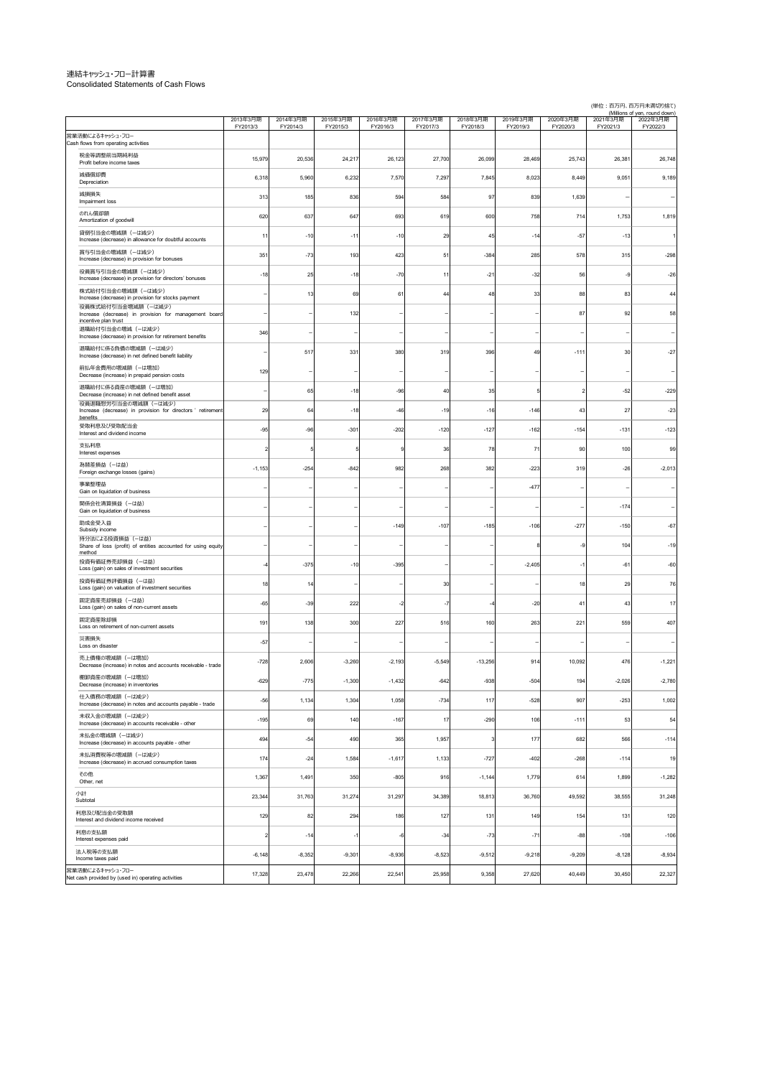### 連結キャッシュ・フロー計算書 Consolidated Statements of Cash Flows

கையைவைப்பட்டு<br>et cash provided by (used in) operating activities

2013年3⽉期 FY2013/3 2014年3⽉期 FY2014/3 2015年3⽉期 FY2015/3 2016年3⽉期 FY2016/3 2017年3⽉期 FY2017/3 2018年3⽉期 FY2018/3 2019年3⽉期 FY2019/3 2020年3⽉期 FY2020/3 2021年3⽉期 FY2021/3 (Millions of yen, round down)<br>E3月期 2022年3月期 FY2022/3 -<br>税金等調整前当期純利益<br>Profit before income taxe v‱nt-profit mand-profit before income taxes 15,979 20,536 24,217 26,123 27,700 26,099 28,469 25,743 26,381 26,748<br>Profit before income taxes 減価償却費 Depreciation 6,318 5,960 6,232 7,570 7,297 7,845 8,023 8,449 9,051 9,189 減損損失 Impairment loss 313 185 836 594 584 97 839 1,639 - - のれん償却額<br>Amortization of goodwill ontuveuvena 1,753 (1,819 620 637 647 693 619 600 758 714 1,753 1,819<br>Amortization of goodwill 貸倒引当金の増減額(→は減少)<br>Increase (decrease) in allowance for doubtful accounts 11 11 -10 -11 -10 -10 29 -15 -14 -57 -13 -13 -1 賞与引当⾦の増減額(ーは減少) Increase (decrease) in provision for bonuses 351 -73 193 423 51 -384 285 578 315 -298 役員賞与引当金の増減額 (ーは減少)<br>Increase (decrease) in provision for directors' bonuses Increase (decrease) in provision for directors' bonuses -18 25 -18 -70 11 -21 -32 56 -9 -26 株式給付引当金の増減額(ーは減少)<br>Increase (decrease) in provision for stocks payment - 13 - 13 89 61 - 44 48 33 88 83 44<br>役員株式給付引当金増減額(ーは減少) Increase (decrease) in provision for management board incentive plan trust - 132 - 132 - 1 - 1 - 1 - 87 92 58 退職給付引当金の増減(ーは減少)<br>Increase (decrease) in provision for retirement benefits менистольщи∾имом своимом своимом своим постоянность на меньше в детей в детей в детей в детей в детей в детей в<br>Постемве (decrease) in provision for retirement benefits and a state of the state of the state of the state 退職給付に係る負債の増減額(一は減少)<br>Increase (decrease) in net defined benefit liability - 517 - 517 331 380 319 319 396 49 -111 30 -27 前払年金費用の増減額(ーは増加)<br>Decrease (increase) in prepaid pen Decrease (increase) in prepaid pension costs <sup>129</sup> --------- 退職給付に係る資産の増減額(--は増加)<br>Decrease (increase) in net defined benefit asset - 65 -18 -96 40 35 5 2 -52 -229<br>役員退職慰労引当金の増減額(--は減少)<br>benefits - 6 -146 - 19 -16 - 146 - 15 - 146 - 146 - 146 - 146 - 146 27 - 23<br>benefits 29 64 -18 -46 -19 -16 -146 -146 -131 -23 受取利息及び受取配当⾦ Interest and dividend income -95 -96 -301 -202 -120 -127 -162 -154 -131 -123 支払利息 Interest expenses 2 5 5 9 36 78 71 90 100 99 為替差損益(ーは益) Foreign exchange losses (gains) -1,153 -254 -842 982 268 382 -223 319 -26 -2,013 <del>事業整理益</del> Gain on liquidation of business ------ -477 --- 関係会社清算損益 (-は益)<br>Gain on liquidation of business Gain on liquidation of business -------- -174 - 助成⾦受⼊益 *subsidia* von de la component de la component de la component de la component de la component de la component de<br>Subsidiy income <sub>55555</sub> moons<br>持分法による投資損益(−は益) Share of loss (profit) of entities accounted for using equity method ------ 8 -9 104 -19 投資有価証券売却損益(ーは益) = 00<br>Loss (gain) on sales of investment securities - -4 -375 - -10 - -395 - - - - - - - - -2,405 - -1 - - -61 - -60 投資有価証券評価損益(ーは益) xx=vr>manas.zyzman.xxman.vxt v=xman.vxt v=xman.vxt v=xman.vxt v=xman.vxt v=xman.vxt v=xman.vxt v=xman.vxt v=xm<br>Loss (gain) on valuation of investment securities 18 14 1 1 2 | 14 1 29 1 29 1 29 1 29 1 29 1 29 1 2 固定資産売却損益(ーは益) Loss (gain) on sales of non-current assets -65 -39 222 -2 -7 -4 -20 41 43 17 固定資産除却損<br>Loss on retirement of non-current assets ատ<sub>ես</sub>տեղանաբան որոշոր է 191 138 300 227 516 160 263 221 516 201 228 231 559 407<br>Loss on retirement of non-current assets 1911 139 138 300 227 516 160 263 221 516 221 災害損失<br>Loss on disaster Loss on disaster -57 --------- 売上債権の増減額 (ーは増加)<br>Decrease (increase) in notes a R#@21≌3435. (=U#301)<br>ase(ncrease)in notes and accounts receivable - trade - 1,221 - 1,221 - 2,506 - 2,193 - 2,549 - 13,256 - 914 - 10,092 - 176 -1,221 棚卸資産の増減額(ーは増加) Decrease (increase) in inventories -629 -775 -1,300 -1,432 -642 -938 -504 194 -2,026 -2,780 仕入儀務の増減額(一は減少) - 100<br>Increase (decrease) in notes and accounts payable - trade - 1,566 - 1,134 - 1,304 - 1,058 - 734 - 117 - 528 907 - 253 - 1,002 未収⼊⾦の増減額(ーは減少) 未収金の増減額(cは減少) - other - other - other - other - other - other - other - other - o<br>Increase (decrease) in accounts receivable - other - - - 195 - - 195 - - 196 - 140 - -167 - - 17 - - 290 - -111 - 53 - 54 -<br>未払金の増減額 (ーは減少) Increase (decrease) in accounts payable - other 494 -54 490 365 1,957 3 177 682 566 -114 未払消費税等の増減額(ーは減少) 未出海黄陈莎①能議(一は減少)<br>Increase (decrease) in accrued consumption taxes 174 1 -24 1,584 -1,617 1,133 -127 -127 -402 -268 -114 1 その他<br>Other net Other, net 1,367 1,491 350 -805 916 -1,144 1,779 614 1,899 -1,282 23,344 31,763 31,274 31,297 34,389 18,813 36,760 49,592 38,555 31,248 129 82 294 186 127 131 149 154 131 131 120 2 -14 -1| -6| -34| -73| -71| -88| -108| -106 -6,148| -8,352| -9,301| -8,936| -8,523| -9,512| -9,218| -9,209| -8,128| -8,934 営業活動によるキャッシュ・フロー Cash flows from operating activities 小計<br>Subtotal 利息及び配当⾦の受取額 Interest and dividend income received ——<br>利息の支払額 es naid 法人税等の支払額<br>Income taxes paid 営業活動によるキャッシュ・フロー (単位:百万円、百万円未満切り捨て)

17,328 23,478 22,266 22,541 25,958 9,358 27,620 40,449 30,450 22,327